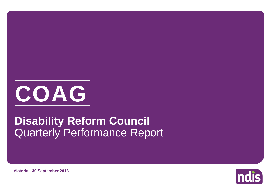

# Quarterly Performance Report **Disability Reform Council**

**Victoria - 30 September 2018**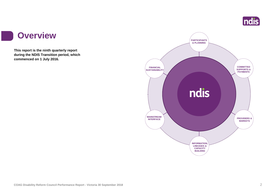

#### **Overview**

a s

**This report is the ninth quarterly report during the NDIS Transition period, which commenced on 1 July 2016.**

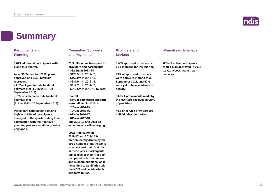

### **Summary**

| <b>Participants and</b>                                                                                                                                                                                | <b>Committed Supports</b>                                                                                                                                                                                                                                                                                                                      | <b>Providers and</b>                                                                                                               | <b>Mainstream Interface</b>                                                            |  |
|--------------------------------------------------------------------------------------------------------------------------------------------------------------------------------------------------------|------------------------------------------------------------------------------------------------------------------------------------------------------------------------------------------------------------------------------------------------------------------------------------------------------------------------------------------------|------------------------------------------------------------------------------------------------------------------------------------|----------------------------------------------------------------------------------------|--|
| <b>Planning</b>                                                                                                                                                                                        | and Payments                                                                                                                                                                                                                                                                                                                                   | <b>Markets</b>                                                                                                                     |                                                                                        |  |
| 8,073 additional participants with<br>plans this quarter.                                                                                                                                              | \$1.9 billion has been paid to<br>providers and participants:<br>• \$32.5m in 2013-14,                                                                                                                                                                                                                                                         | 5,485 approved providers, a<br>11% increase for the quarter.                                                                       | 88% of active participants<br>with a plan approved in 2018-<br>19 Q1 access mainstream |  |
| As at 30 September 2018, plans<br>approved and ECEI referrals<br>represent:<br>. 110% of year to date bilateral<br>estimate met (1 July 2018 - 30<br>September 2018)                                   | $\cdot$ \$128.3m in 2014-15,<br>$\cdot$ \$160.9m in 2015-16,<br>$\cdot$ \$331.9m in 2016-17,<br>• \$914.7m in 2017-18,<br>• \$319.6m in 2018-19 to date.                                                                                                                                                                                       | 43% of approved providers<br>were active in Victoria at 30<br>September 2018, and 57%<br>were yet to have evidence of<br>activity. | services.                                                                              |  |
| • 87% of scheme to date bilateral<br>estimate met<br>(1 July 2013 - 30 September 2018)                                                                                                                 | Overall,<br>• 61% of committed supports<br>were utilised in 2013-14,<br>• 79% in 2014-15,                                                                                                                                                                                                                                                      | 80-95% of payments made by<br>the NDIA are received by 25%<br>of providers.                                                        |                                                                                        |  |
| <b>Participant satisfaction remains</b><br>high with 85% of participants<br>surveyed in the quarter rating their<br>satisfaction with the Agency's<br>planning process as either good or<br>very good. | • 79% in 2015-16,<br>• 67% in 2016-17,<br>$\cdot$ 64% in 2017-18.<br>The 2017-18 and 2018-19<br>experience is still emerging.                                                                                                                                                                                                                  | 40% of service providers are<br>individuals/sole traders.                                                                          |                                                                                        |  |
|                                                                                                                                                                                                        | Lower utilisation in<br>2016-17 and 2017-18 is<br>predominantly driven by the<br>large number of participants<br>who received their first plan<br>in these years. Participants<br>utilise less of their first plan<br>compared with their second<br>and subsequent plans, as it<br>takes time to familiarise with<br>the NDIS and decide which |                                                                                                                                    |                                                                                        |  |

**supports to use.**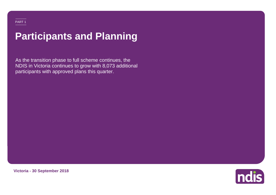# **Participants and Planning**

As the transition phase to full scheme continues, the NDIS in Victoria continues to grow with 8,073 additional participants with approved plans this quarter.



**Victoria - 30 September 2018**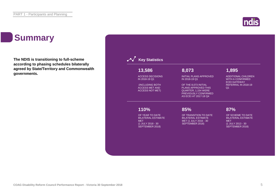### **Summary**

**The NDIS is transitioning to full-scheme according to phasing schedules bilaterally agreed by State/Territory and Commonwealth governments.**



**Indis**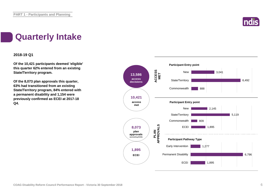

### **Quarterly Intake**

#### **2018-19 Q1**

**Of the 10,421 participants deemed 'eligible' this quarter 62% entered from an existing State/Territory program.**

**Of the 8,073 plan approvals this quarter, 63% had transitioned from an existing State/Territory program, 84% entered with a permanent disability and 1,154 were previously confirmed as ECEI at 2017-18 Q4.**

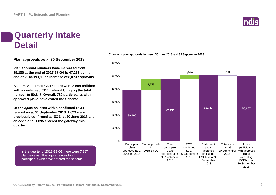

### **Quarterly Intake Detail**

**Plan approvals as at 30 September 2018**

**Plan approval numbers have increased from 39,180 at the end of 2017-18 Q4 to 47,253 by the end of 2018-19 Q1, an increase of 8,073 approvals.**

**As at 30 September 2018 there were 3,594 children with a confirmed ECEI referral bringing the total number to 50,847. Overall, 780 participants with approved plans have exited the Scheme.**

**Of the 3,594 children with a confirmed ECEI referral as at 30 September 2018, 1,699 were previously confirmed as ECEI at 30 June 2018 and an additional 1,895 entered the gateway this quarter.**

In the quarter of 2018-19 Q1 there were 7,987 plan reviews. This figure relates to all participants who have entered the scheme.



**Change in plan approvals between 30 June 2018 and 30 September 2018**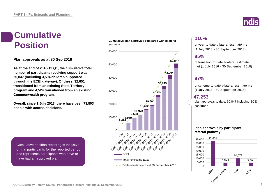# **Cumulative**

**Plan approvals as at 30 Sep 2018**

**As at the end of 2018-19 Q1, the cumulative total number of participants receiving support was 50,847 (including 3,594 children supported through the ECEI gateway). Of these, 32,651 transitioned from an existing State/Territory program and 4,524 transitioned from an existing Commonwealth program.**

**Overall, since 1 July 2013, there have been 73,803 people with access decisions.**

Cumulative position reporting is inclusive of trial participants for the reported period and represents participants who have or have had an approved plan.

#### **Cumulative plan approvals compared with bilateral estimate Position** estimate plan approvals compared with bilateral of year to date bilateral estimate met





#### **110%**

(1 July 2018 - 30 September 2018)

#### **85%**

of transition to date bilateral estimate met (1 July 2016 - 30 September 2018)

#### **87%**

of scheme to date bilateral estimate met (1 July 2013 - 30 September 2018)

#### **47,253**

plan approvals to date; 50,847 including ECEI confirmed

#### **Plan approvals by participant referral pathway**

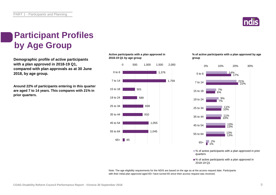

### **Participant Profiles by Age Group**

**Demographic profile of active participants with a plan approved in 2018-19 Q1, compared with plan approvals as at 30 June 2018, by age group.**

**Around 22% of participants entering in this quarter are aged 7 to 14 years. This compares with 21% in prior quarters.**

#### **Active participants with a plan approved in 2018-19 Q1 by age group**



#### **% of active participants with a plan approved by age group**



■ % of active participants with a plan approved in prior quarters

■% of active participants with a plan approved in 2018-19 Q1

Note: The age eligibility requirements for the NDIS are based on the age as at the access request date. Participants with their initial plan approved aged 65+ have turned 65 since their access request was received.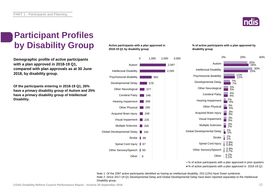

### **Participant Profiles by Disability Group**

**Demographic profile of active participants with a plan approved in 2018-19 Q1, compared with plan approvals as at 30 June 2018, by disability group.**

**Of the participants entering in 2018-19 Q1, 26% have a primary disability group of Autism and 25% have a primary disability group of Intellectual Disability.**

#### **Active participants with a plan approved in 2018-19 Q1 by disability group**



#### **% of active participants with a plan approved by disability group**



■ % of active participants with a plan approved in prior quarters

■% of active participants with a plan approved in 2018-19 Q1

Note 1: Of the 2097 active participants identified as having an intellectual disability, 253 (12%) have Down syndrome. Note 2: Since 2017-18 Q1 Developmental Delay and Global Developmental Delay have been reported separately to the Intellectual Disability group.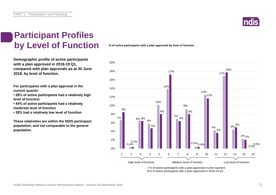

### **Participant Profiles by Level of Function**

**Demographic profile of active participants with a plan approved in 2018-19 Q1, compared with plan approvals as at 30 June 2018, by level of function.**

**For participants with a plan approval in the current quarter:** 

**• 28% of active participants had a relatively high level of function**

**• 44% of active participants had a relatively moderate level of function** 

**• 28% had a relatively low level of function**

**These relativities are within the NDIS participant population, and not comparable to the general population.**

**% of active participants with a plan approved by level of function**



■% of active participants with a plan approved in 2018-19 Q1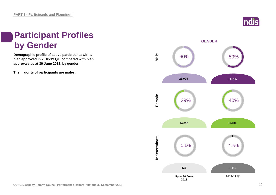

### **Participant Profiles by Gender**

**Demographic profile of active participants with a plan approved in 2018-19 Q1, compared with plan approvals as at 30 June 2018, by gender.**

**The majority of participants are males.**

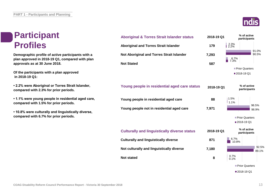### **Participant Profiles**

**Demographic profile of active participants with a plan approved in 2018-19 Q1, compared with plan approvals as at 30 June 2018.**

**Of the participants with a plan approved in 2018-19 Q1:**

**• 2.2% were Aboriginal or Torres Strait Islander, compared with 2.3% for prior periods.**

**• 1.1% were young people in residential aged care, compared with 1.5% for prior periods.**

**• 10.8% were culturally and linguistically diverse, compared with 6.7% for prior periods.**

| <b>Aboriginal &amp; Torres Strait Islander status</b> | 2018-19 Q1 | % of active<br>participants   |
|-------------------------------------------------------|------------|-------------------------------|
| <b>Aboriginal and Torres Strait Islander</b>          | 179        | $\frac{2.3\%}{2.2\%}$         |
| Not Aboriginal and Torres Strait Islander             | 7,293      | 91.0%<br>90.5%<br>6.7%        |
| <b>Not Stated</b>                                     | 587        | 7.3%                          |
|                                                       |            | <b>Prior Quarters</b>         |
|                                                       |            | ■2018-19 Q1                   |
| Young people in residential aged care status          | 2018-19 Q1 | % of active<br>participants   |
| Young people in residential aged care                 | 88         | 1.5%<br>1.1%<br>98.5%         |
| Young people not in residential aged care             | 7,971      | 98.9%                         |
|                                                       |            | Prior Quarters<br>■2018-19 Q1 |
| <b>Culturally and linguistically diverse status</b>   | 2018-19 Q1 | % of active<br>participants   |
| <b>Culturally and linguistically diverse</b>          | 871        | 6.7%<br>10.8%                 |
| Not culturally and linguistically diverse             | 7,180      | 92.5<br>89.1'                 |
| <b>Not stated</b>                                     | 8          | 0.7%<br>0.1%                  |
|                                                       |            | Prior Quarters                |
|                                                       |            | ■2018-19 Q1                   |



92.5%

89.1%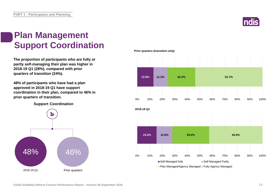

### **Plan Management Support Coordination**

**The proportion of participants who are fully or partly self-managing their plan was higher in 2018-19 Q1 (28%), compared with prior quarters of transition (24%).** 

**48% of participants who have had a plan approved in 2018-19 Q1 have support coordination in their plan, compared to 46% in prior quarters of transition.**

**Support Coordination**



**Prior quarters (transition only)**

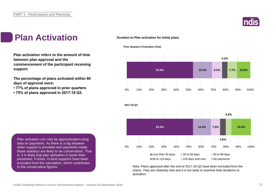

### **Plan Activation**

**Plan activation refers to the amount of time between plan approval and the commencement of the participant receiving support.**

**The percentage of plans activated within 90 days of approval were:** 

- **77% of plans approved in prior quarters**
- **75% of plans approved in 2017-18 Q3.**

#### **Duration to Plan activation for initial plans**







Note: Plans approved after the end of 2017-18 Q3 have been excluded from the charts. They are relatively new and it is too early to examine their durations to activation.

Plan activation can only be approximated using data on payments. As there is a lag between when support is provided and payments made, these statistics are likely to be conservative. That is, it is likely that plan activation is faster than presented. Further, in-kind supports have been excluded from the calculation, which contributes to the conservative figures.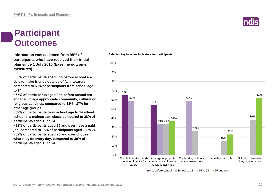### **Participant Outcomes**

**Information was collected from 98% of participants who have received their initial plan since 1 July 2016 (baseline outcome measures).**

**• 65% of participants aged 0 to before school are able to make friends outside of family/carers, compared to 59% of participants from school age to 14**

**• 55% of participants aged 0 to before school are engaged in age appropriate community, cultural or religious activities, compared to 33% - 37% for other age groups**

**• 59% of participants from school age to 14 attend school in a mainstream class, compared to 26% of participants aged 15 to 24**

**• 22% of participants aged 25 and over have a paid job, compared to 15% of participants aged 15 to 24 • 62% of participants aged 25 and over choose what they do every day, compared to 39% of participants aged 15 to 24**

#### 65% 55% 59% 33% 34% 59% 26% 15% 39% 37% 22% 62% 0% 10% 20% 30% 40% 50% 60% 70% 80% 90% 100% % able to make friends outside of family (or carers) % in age appropiate % attending school in community, cultural or religious activities mainstream class % with a paid job % that choose what they do every day

 $\Box$  0 to before school  $\Box$  School to 14  $\Box$  15 to 24  $\Box$  25 and over

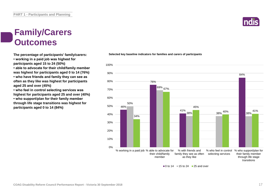### **Family/Carers Outcomes**

**The percentage of participants' family/carers:**

**• working in a paid job was highest for participants aged 15 to 24 (50%)**

**• able to advocate for their child/family member** 

**was highest for participants aged 0 to 14 (76%) • who have friends and family they can see as often as they like was highest for participants aged 25 and over (45%)**

**• who feel in control selecting services was highest for participants aged 25 and over (40%) • who support/plan for their family member through life stage transitions was highest for participants aged 0 to 14 (84%)**



**Selected key baseline indicators for families and carers of participants**



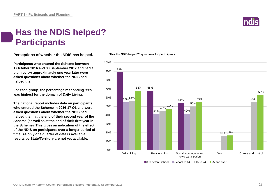

### **Has the NDIS helped? Participants**

**Perceptions of whether the NDIS has helped.**

**Participants who entered the Scheme between 1 October 2016 and 30 September 2017 and had a plan review approximately one year later were asked questions about whether the NDIS had helped them.**

**For each group, the percentage responding 'Yes' was highest for the domain of Daily Living.**

**The national report includes data on participants who entered the Scheme in 2016-17 Q1 and were asked questions about whether the NDIS had helped them at the end of their second year of the Scheme (as well as at the end of their first year in the Scheme). This gives an indication of the effect of the NDIS on participants over a longer period of time. As only one quarter of data is available, results by State/Territory are not yet available.**

#### **"Has the NDIS helped?" questions for participants**

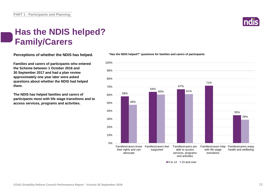### **Has the NDIS helped? Family/Carers**

**Perceptions of whether the NDIS has helped.**

**Families and carers of participants who entered the Scheme between 1 October 2016 and 30 September 2017 and had a plan review approximately one year later were asked questions about whether the NDIS had helped them.**

**The NDIS has helped families and carers of participants most with life stage transitions and to access services, programs and activities.**



**"Has the NDIS helped?" questions for families and carers of participants**



 $\blacksquare$ 0 to 14  $\blacksquare$  15 and over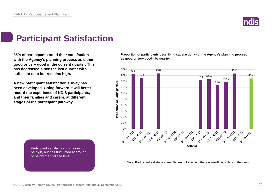

### **Participant Satisfaction**

**85% of participants rated their satisfaction with the Agency's planning process as either good or very good in the current quarter. This has decreased since the last quarter with sufficient data but remains high.** 

**A new participant satisfaction survey has been developed. Going forward it will better record the experience of NDIS participants, and their families and carers, at different stages of the participant pathway.**

**Proportion of participants describing satisfaction with the Agency's planning process as good or very good - by quarter**



Participant satisfaction continues to be high, but has fluctuated at around or below the trial site level.

Note: Participant satisfaction results are not shown if there is insufficient data in the group.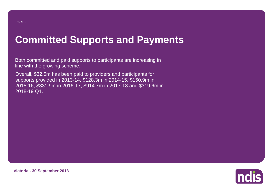# **Committed Supports and Payments**

Both committed and paid supports to participants are increasing in line with the growing scheme.

Overall, \$32.5m has been paid to providers and participants for supports provided in 2013-14, \$128.3m in 2014-15, \$160.9m in 2015-16, \$331.9m in 2016-17, \$914.7m in 2017-18 and \$319.6m in 2018-19 Q1.



**Victoria - 30 September 2018**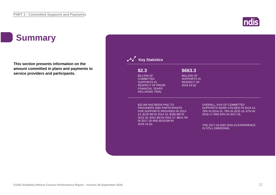### **Summary**

**This section presents information on the amount committed in plans and payments to service providers and participants.**



**ndis**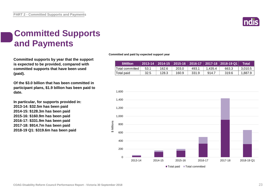

### **Committed Supports and Payments**

**Committed supports by year that the support is expected to be provided, compared with committed supports that have been used (paid).**

**Of the \$3.0 billion that has been committed in participant plans, \$1.9 billion has been paid to date.**

**In particular, for supports provided in: 2013-14: \$32.5m has been paid 2014-15: \$128.3m has been paid 2015-16: \$160.9m has been paid 2016-17: \$331.9m has been paid 2017-18: \$914.7m has been paid 2018-19 Q1: \$319.6m has been paid**

**Committed and paid by expected support year**

| <b>SMillion</b>    |      |       |       |       |         | 2013-14 2014-15 2015-16 2016-17 2017-18 2018-19 Q1 | <b>Total</b> |
|--------------------|------|-------|-------|-------|---------|----------------------------------------------------|--------------|
| :Total committed \ | 53.1 | 162.6 | 203.0 | 493.1 | 1.435.4 | 663.3                                              | 3,010.5      |
| ˈTotal paid        | 32.5 | 128.3 | 160.9 | 331.9 | 914.7   | 319.6                                              | 1,887.9      |

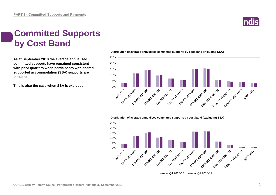

### **Committed Supports by Cost Band**

**As at September 2018 the average annualised committed supports have remained consistent with prior quarters when participants with shared supported accommodation (SSA) supports are included.**

**This is also the case when SSA is excluded.**



#### **Distribution of average annualised committed supports by cost band (including SSA)**

#### **Distribution of average annualised committed supports by cost band (excluding SSA)**

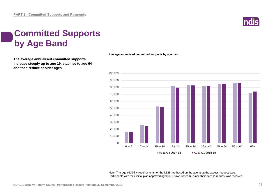

### **Committed Supports by Age Band**

**The average annualised committed supports increase steeply up to age 19, stabilise to age 64 and then reduce at older ages.**

**Average annualised committed supports by age band**



Note: The age eligibility requirements for the NDIS are based on the age as at the access request date. Participants with their initial plan approved aged 65+ have turned 65 since their access request was received.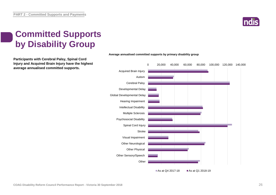

### **Committed Supports by Disability Group**

**Participants with Cerebral Palsy, Spinal Cord Injury and Acquired Brain Injury have the highest average annualised committed supports.**



**Average annualised committed supports by primary disability group**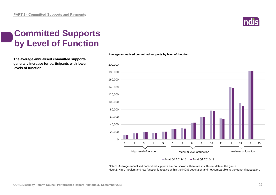

### **Committed Supports by Level of Function**

**The average annualised committed supports generally increase for participants with lower levels of function.**

#### **Average annualised committed supports by level of function**



#### As at Q4 2017-18  $\blacksquare$  As at Q1 2018-19

Note 1: Average annualised committed supports are not shown if there are insufficient data in the group. Note 2: High, medium and low function is relative within the NDIS population and not comparable to the general population.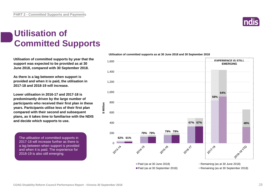#### **Utilisation of Committed Supports**

**Utilisation of committed supports by year that the support was expected to be provided as at 30 June 2018, compared with 30 September 2018.** 

**As there is a lag between when support is provided and when it is paid, the utilisation in 2017-18 and 2018-19 will increase.**

**Lower utilisation in 2016-17 and 2017-18 is predominantly driven by the large number of participants who received their first plan in these years. Participants utilise less of their first plan compared with their second and subsequent plans, as it takes time to familiarise with the NDIS and decide which supports to use.**

**\$ Million**

The utilisation of committed supports in 2017-18 will increase further as there is a lag between when support is provided and when it is paid. The experience for 2018-19 is also still emerging.

#### **Utilisation of committed supports as at 30 June 2018 and 30 September 2018**



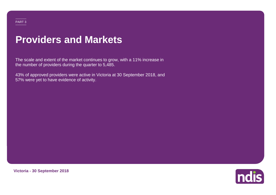#### PART 3

### **Providers and Markets**

The scale and extent of the market continues to grow, with a 11% increase in the number of providers during the quarter to 5,485.

43% of approved providers were active in Victoria at 30 September 2018, and 57% were yet to have evidence of activity.



**Victoria - 30 September 2018**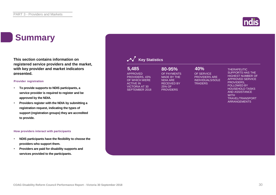### **Summary**

**This section contains information on registered service providers and the market, with key provider and market indicators presented.**

#### **Provider registration**

- **To provide supports to NDIS participants, a service provider is required to register and be approved by the NDIA.**
- **Providers register with the NDIA by submitting a registration request, indicating the types of support (registration groups) they are accredited to provide.**

#### **How providers interact with participants**

- **NDIS participants have the flexibility to choose the providers who support them.**
- **Providers are paid for disability supports and services provided to the participants.**

| 5,485<br><b>APPROVED</b><br>PROVIDERS, 43%<br>OF WHICH WERE<br><b>ACTIVE IN</b><br><b>VICTORIA AT 30</b><br><b>SEPTEMBER 2018</b> | $80 - 95%$<br>OF PAYMENTS<br><b>MADE BY THE</b><br><b>NDIA ARE</b><br><b>RECEIVED BY</b><br>25% OF<br><b>PROVIDERS</b> | 40%<br>OF SERVICE<br><b>PROVIDERS ARE</b><br><b>INDIVIDUALS/SOLE</b><br><b>TRADERS</b> | <b>THERAPEUTIC</b><br><b>SUPPORTS HAS THE</b><br><b>HIGHEST NUMBER OF</b><br><b>APPROVED SERVICE</b><br>PROVIDERS,<br><b>FOLLOWED BY</b><br><b>HOUSEHOLD TASKS</b><br><b>AND ASSISTANCE</b><br><b>WITH</b><br><b>TRAVEL/TRANSPORT</b><br><b>ARRANGEMENTS</b> |
|-----------------------------------------------------------------------------------------------------------------------------------|------------------------------------------------------------------------------------------------------------------------|----------------------------------------------------------------------------------------|--------------------------------------------------------------------------------------------------------------------------------------------------------------------------------------------------------------------------------------------------------------|
|                                                                                                                                   |                                                                                                                        |                                                                                        |                                                                                                                                                                                                                                                              |

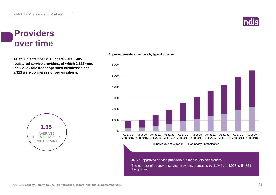## **Indi**

#### **Providers over time**

**As at 30 September 2018, there were 5,485 registered service providers, of which 2,172 were individual/sole trader operated businesses and 3,313 were companies or organisations.**



#### $\sqrt{2}$ 1,000 2,000 3,000 4,000 5,000 6,000 As at 30 Jun 2016 Sep 2016 Dec 2016 Mar 2017 Jun 2017 Sep 2017 Dec 2017 Mar 2018 Jun 2018 Sep 2018 As at 30 As at 31 As at 31 As at 30 As at 30 As at 31 As at 31 As at 30 As at 30  $\blacksquare$ Individual / sole trader  $\blacksquare$  Company / organisation The number of approved service providers increased by 11% from 4,923 to 5,485 in the quarter. 40% of approved service providers are individuals/sole traders.

**Approved providers over time by type of provider**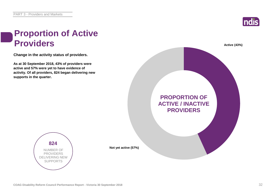

### **Proportion of Active Providers Active (43%)**

**Change in the activity status of providers.**

**As at 30 September 2018, 43% of providers were active and 57% were yet to have evidence of activity. Of all providers, 824 began delivering new supports in the quarter.**



**824** NUMBER OF PROVIDERS DELIVERING NEW SUPPORTS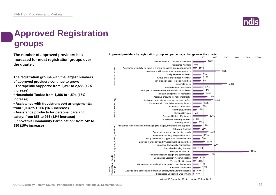### **Approved Registration groups**

**The number of approved providers has** *Approved providers by registration group and percentage change over the quarter***<br>
1.000 increased for most registration groups over the quarter.**

**The registration groups with the largest numbers of approved providers continue to grow:**

**• Therapeutic Supports: from 2,317 to 2,588 (12% increase)**

**• Household Tasks: from 1,356 to 1,594 (18% increase)**

**• Assistance with travel/transport arrangements: from 1,094 to 1,266 (16% increase)**

**• Assistance products for personal care and safety: from 856 to 956 (12% increase)**

**• Innovative Community Participation: from 742 to 880 (19% increase)**



As at 30 September 2018 As at 30 June 2018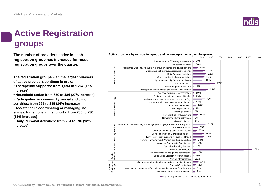### **Active Registration groups**

**The number of providers active in each registration group has increased for most registration groups over the quarter.**

**The registration groups with the largest numbers of active providers continue to grow:**

**• Therapeutic Supports: from 1,093 to 1,267 (16% increase)**

**• Household tasks: from 380 to 484 (27% increase)**

**• Participation in community, social and civic activities: from 295 to 335 (14% increase)**

**• Assistance in coordinating or managing life stages, transitions and supports: from 266 to 296 (11% increase)**

**• Daily Personal Activities: from 264 to 296 (12% increase)**



As at 30 September 2018 As at 30 June 2018

#### **Active providers by registration group and percentage change over the quarter**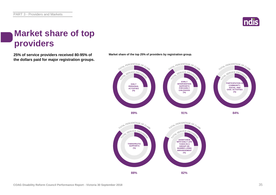

### **Market share of top providers**

**the dollars paid for major registration groups.**



**25% of service providers received 80-95% of Market share of the top 25% of providers by registration group.**

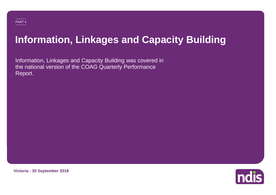# **Information, Linkages and Capacity Building**

Information, Linkages and Capacity Building was covered in the national version of the COAG Quarterly Performance Report.



**Victoria - 30 September 2018**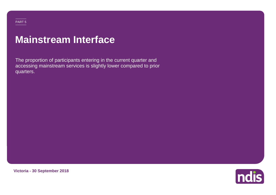#### PART 5

### **Mainstream Interface**

The proportion of participants entering in the current quarter and accessing mainstream services is slightly lower compared to prior quarters.



**Victoria - 30 September 2018**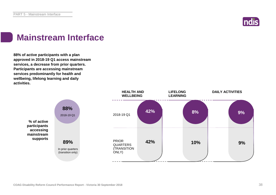

### **Mainstream Interface**

**88% of active participants with a plan approved in 2018-19 Q1 access mainstream services, a decrease from prior quarters. Participants are accessing mainstream services predominantly for health and wellbeing, lifelong learning and daily activities.**